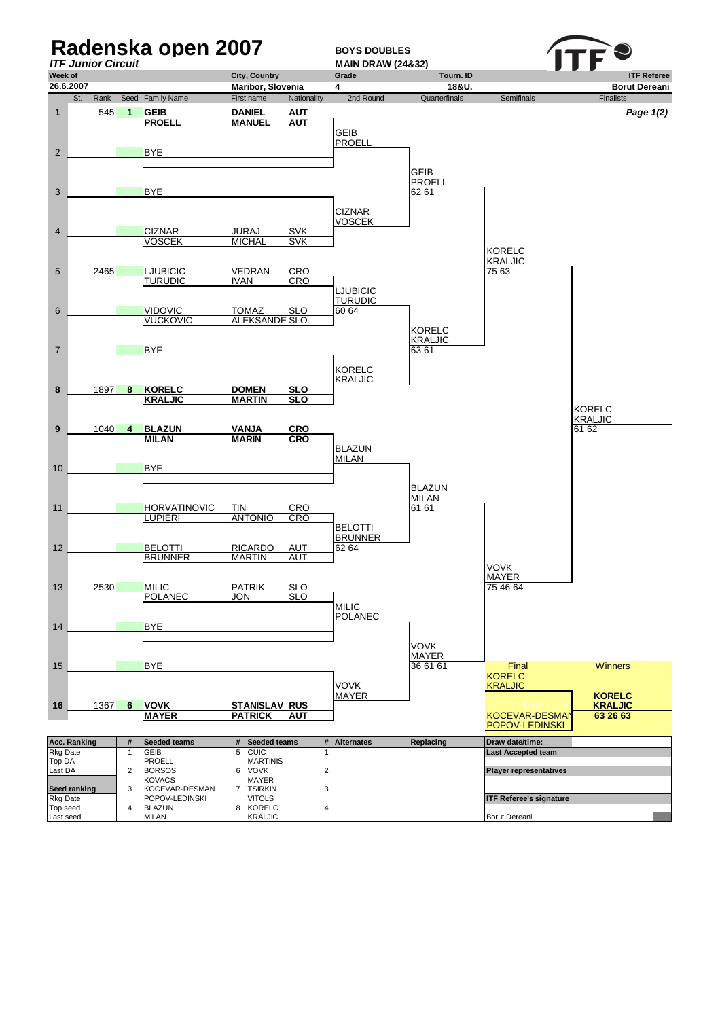